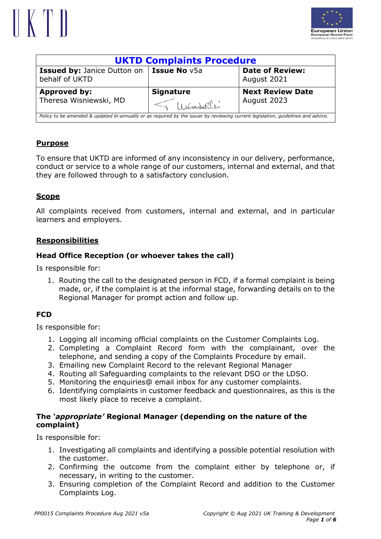



| <b>UKTD Complaints Procedure</b>                                                                                                 |                                  |                                        |  |  |  |  |
|----------------------------------------------------------------------------------------------------------------------------------|----------------------------------|----------------------------------------|--|--|--|--|
| <b>Issued by: Janice Dutton on   Issue No v5a</b><br>behalf of UKTD                                                              |                                  | <b>Date of Review:</b><br>August 2021  |  |  |  |  |
| Approved by:<br>Theresa Wisniewski, MD                                                                                           | <b>Signature</b><br>T. Wisningli | <b>Next Review Date</b><br>August 2023 |  |  |  |  |
| Policy to be amended & updated bi-annually or as required by the issuer by reviewing current legislation, quidelines and advice. |                                  |                                        |  |  |  |  |

## **Purpose**

To ensure that UKTD are informed of any inconsistency in our delivery, performance, conduct or service to a whole range of our customers, internal and external, and that they are followed through to a satisfactory conclusion.

## **Scope**

All complaints received from customers, internal and external, and in particular learners and employers.

## **Responsibilities**

## **Head Office Reception (or whoever takes the call)**

Is responsible for:

1. Routing the call to the designated person in FCD, if a formal complaint is being made, or, if the complaint is at the informal stage, forwarding details on to the Regional Manager for prompt action and follow up.

## **FCD**

Is responsible for:

- 1. Logging all incoming official complaints on the Customer Complaints Log.
- 2. Completing a Complaint Record form with the complainant, over the telephone, and sending a copy of the Complaints Procedure by email.
- 3. Emailing new Complaint Record to the relevant Regional Manager
- 4. Routing all Safeguarding complaints to the relevant DSO or the LDSO.
- 5. Monitoring the enquiries@ email inbox for any customer complaints.
- 6. Identifying complaints in customer feedback and questionnaires, as this is the most likely place to receive a complaint.

### **The** *'appropriate'* **Regional Manager (depending on the nature of the complaint)**

Is responsible for:

- 1. Investigating all complaints and identifying a possible potential resolution with the customer.
- 2. Confirming the outcome from the complaint either by telephone or, if necessary, in writing to the customer.
- 3. Ensuring completion of the Complaint Record and addition to the Customer Complaints Log.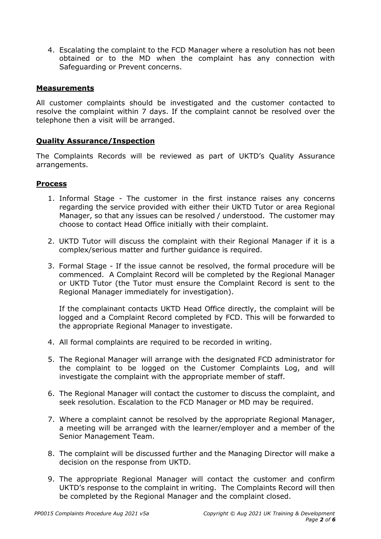4. Escalating the complaint to the FCD Manager where a resolution has not been obtained or to the MD when the complaint has any connection with Safeguarding or Prevent concerns.

#### **Measurements**

All customer complaints should be investigated and the customer contacted to resolve the complaint within 7 days. If the complaint cannot be resolved over the telephone then a visit will be arranged.

#### **Quality Assurance/Inspection**

The Complaints Records will be reviewed as part of UKTD's Quality Assurance arrangements.

#### **Process**

- 1. Informal Stage The customer in the first instance raises any concerns regarding the service provided with either their UKTD Tutor or area Regional Manager, so that any issues can be resolved / understood. The customer may choose to contact Head Office initially with their complaint.
- 2. UKTD Tutor will discuss the complaint with their Regional Manager if it is a complex/serious matter and further guidance is required.
- 3. Formal Stage If the issue cannot be resolved, the formal procedure will be commenced. A Complaint Record will be completed by the Regional Manager or UKTD Tutor (the Tutor must ensure the Complaint Record is sent to the Regional Manager immediately for investigation).

If the complainant contacts UKTD Head Office directly, the complaint will be logged and a Complaint Record completed by FCD. This will be forwarded to the appropriate Regional Manager to investigate.

- 4. All formal complaints are required to be recorded in writing.
- 5. The Regional Manager will arrange with the designated FCD administrator for the complaint to be logged on the Customer Complaints Log, and will investigate the complaint with the appropriate member of staff.
- 6. The Regional Manager will contact the customer to discuss the complaint, and seek resolution. Escalation to the FCD Manager or MD may be required.
- 7. Where a complaint cannot be resolved by the appropriate Regional Manager, a meeting will be arranged with the learner/employer and a member of the Senior Management Team.
- 8. The complaint will be discussed further and the Managing Director will make a decision on the response from UKTD.
- 9. The appropriate Regional Manager will contact the customer and confirm UKTD's response to the complaint in writing. The Complaints Record will then be completed by the Regional Manager and the complaint closed.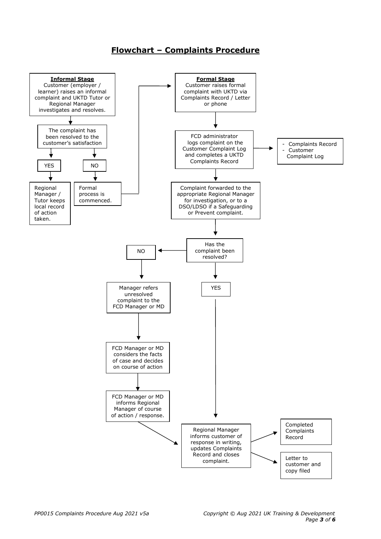## **Flowchart – Complaints Procedure**

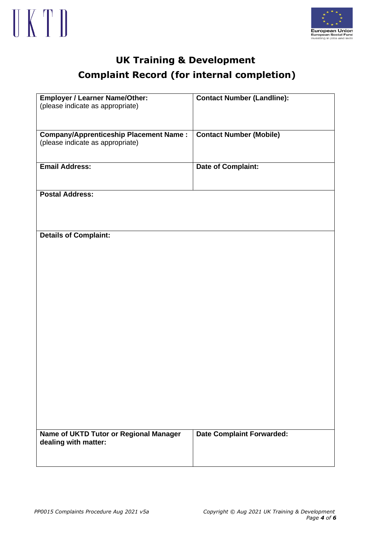



# **UK Training & Development Complaint Record (for internal completion)**

| <b>Employer / Learner Name/Other:</b>         | <b>Contact Number (Landline):</b> |
|-----------------------------------------------|-----------------------------------|
| (please indicate as appropriate)              |                                   |
|                                               |                                   |
|                                               |                                   |
| <b>Company/Apprenticeship Placement Name:</b> | <b>Contact Number (Mobile)</b>    |
| (please indicate as appropriate)              |                                   |
|                                               |                                   |
| <b>Email Address:</b>                         | <b>Date of Complaint:</b>         |
|                                               |                                   |
|                                               |                                   |
| <b>Postal Address:</b>                        |                                   |
|                                               |                                   |
|                                               |                                   |
|                                               |                                   |
|                                               |                                   |
| <b>Details of Complaint:</b>                  |                                   |
|                                               |                                   |
|                                               |                                   |
|                                               |                                   |
|                                               |                                   |
|                                               |                                   |
|                                               |                                   |
|                                               |                                   |
|                                               |                                   |
|                                               |                                   |
|                                               |                                   |
|                                               |                                   |
|                                               |                                   |
|                                               |                                   |
|                                               |                                   |
|                                               |                                   |
|                                               |                                   |
|                                               |                                   |
|                                               |                                   |
|                                               |                                   |
|                                               |                                   |
|                                               |                                   |
| Name of UKTD Tutor or Regional Manager        | <b>Date Complaint Forwarded:</b>  |
| dealing with matter:                          |                                   |
|                                               |                                   |
|                                               |                                   |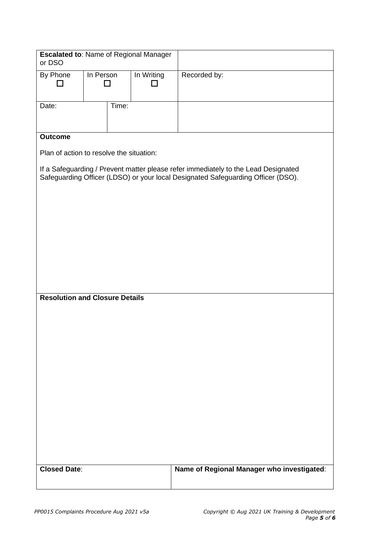| <b>Escalated to: Name of Regional Manager</b><br>or DSO                                                                                                                |                            |       |            |                                            |  |  |
|------------------------------------------------------------------------------------------------------------------------------------------------------------------------|----------------------------|-------|------------|--------------------------------------------|--|--|
| By Phone<br>┓                                                                                                                                                          | In Person<br>$\mathcal{L}$ |       | In Writing | Recorded by:                               |  |  |
| Date:                                                                                                                                                                  |                            | Time: |            |                                            |  |  |
| <b>Outcome</b>                                                                                                                                                         |                            |       |            |                                            |  |  |
| Plan of action to resolve the situation:                                                                                                                               |                            |       |            |                                            |  |  |
| If a Safeguarding / Prevent matter please refer immediately to the Lead Designated<br>Safeguarding Officer (LDSO) or your local Designated Safeguarding Officer (DSO). |                            |       |            |                                            |  |  |
|                                                                                                                                                                        |                            |       |            |                                            |  |  |
|                                                                                                                                                                        |                            |       |            |                                            |  |  |
|                                                                                                                                                                        |                            |       |            |                                            |  |  |
|                                                                                                                                                                        |                            |       |            |                                            |  |  |
| <b>Resolution and Closure Details</b>                                                                                                                                  |                            |       |            |                                            |  |  |
|                                                                                                                                                                        |                            |       |            |                                            |  |  |
|                                                                                                                                                                        |                            |       |            |                                            |  |  |
|                                                                                                                                                                        |                            |       |            |                                            |  |  |
|                                                                                                                                                                        |                            |       |            |                                            |  |  |
|                                                                                                                                                                        |                            |       |            |                                            |  |  |
|                                                                                                                                                                        |                            |       |            |                                            |  |  |
|                                                                                                                                                                        |                            |       |            |                                            |  |  |
|                                                                                                                                                                        |                            |       |            |                                            |  |  |
|                                                                                                                                                                        |                            |       |            |                                            |  |  |
|                                                                                                                                                                        |                            |       |            |                                            |  |  |
| <b>Closed Date:</b>                                                                                                                                                    |                            |       |            | Name of Regional Manager who investigated: |  |  |
|                                                                                                                                                                        |                            |       |            |                                            |  |  |